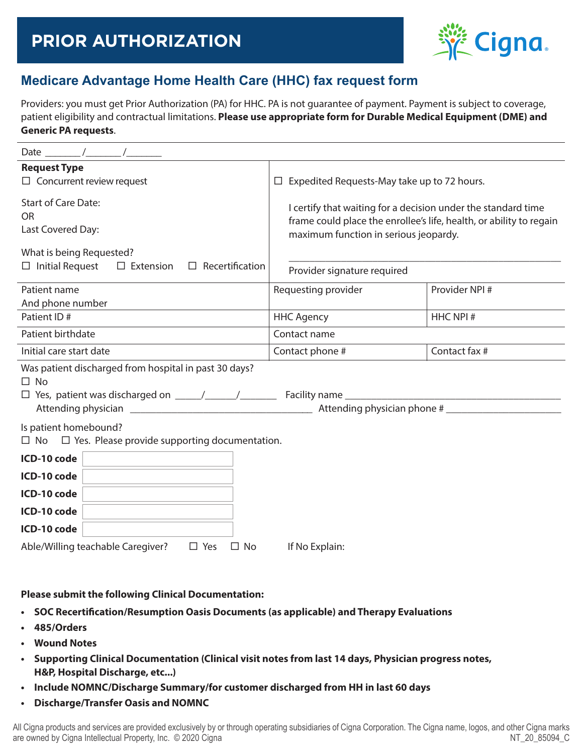

## **Medicare Advantage Home Health Care (HHC) fax request form**

Providers: you must get Prior Authorization (PA) for HHC. PA is not guarantee of payment. Payment is subject to coverage, patient eligibility and contractual limitations. **Please use appropriate form for Durable Medical Equipment (DME) and Generic PA requests**.

| Date                                                                                              |                                                                                                                                                                               |                |  |  |
|---------------------------------------------------------------------------------------------------|-------------------------------------------------------------------------------------------------------------------------------------------------------------------------------|----------------|--|--|
| <b>Request Type</b><br>$\Box$ Concurrent review request                                           | $\Box$ Expedited Requests-May take up to 72 hours.                                                                                                                            |                |  |  |
| <b>Start of Care Date:</b><br><b>OR</b><br>Last Covered Day:<br>What is being Requested?          | I certify that waiting for a decision under the standard time<br>frame could place the enrollee's life, health, or ability to regain<br>maximum function in serious jeopardy. |                |  |  |
| $\Box$ Initial Request<br>$\Box$ Recertification<br>$\square$ Extension                           | Provider signature required                                                                                                                                                   |                |  |  |
| Patient name<br>And phone number                                                                  | Requesting provider                                                                                                                                                           | Provider NPI # |  |  |
| Patient ID#                                                                                       | <b>HHC Agency</b>                                                                                                                                                             | HHC NPI #      |  |  |
| Patient birthdate                                                                                 | Contact name                                                                                                                                                                  |                |  |  |
| Initial care start date                                                                           | Contact phone #                                                                                                                                                               | Contact fax #  |  |  |
| Was patient discharged from hospital in past 30 days?<br>$\Box$ No<br>Attending physician phone # |                                                                                                                                                                               |                |  |  |
| Is patient homebound?<br>$\Box$ No $\Box$ Yes. Please provide supporting documentation.           |                                                                                                                                                                               |                |  |  |
| ICD-10 code                                                                                       |                                                                                                                                                                               |                |  |  |
| ICD-10 code                                                                                       |                                                                                                                                                                               |                |  |  |
| ICD-10 code                                                                                       |                                                                                                                                                                               |                |  |  |
| ICD-10 code                                                                                       |                                                                                                                                                                               |                |  |  |
| ICD-10 code                                                                                       |                                                                                                                                                                               |                |  |  |
| Able/Willing teachable Caregiver?<br>$\square$ Yes<br>$\Box$ No<br>If No Explain:                 |                                                                                                                                                                               |                |  |  |

## **Please submit the following Clinical Documentation:**

- **• SOC Recertification/Resumption Oasis Documents (as applicable) and Therapy Evaluations**
- **• 485/Orders**
- **• Wound Notes**
- **• Supporting Clinical Documentation (Clinical visit notes from last 14 days, Physician progress notes, H&P, Hospital Discharge, etc...)**
- **• Include NOMNC/Discharge Summary/for customer discharged from HH in last 60 days**
- **• Discharge/Transfer Oasis and NOMNC**